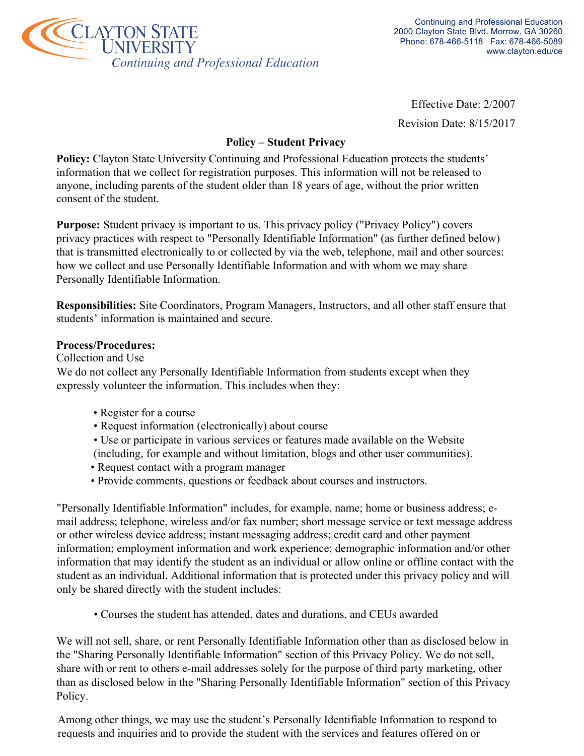

Effective Date: 2/2007

Revision Date: 8/15/2017

## **Policy – Student Privacy**

**Policy:** Clayton State University Continuing and Professional Education protects the students' information that we collect for registration purposes. This information will not be released to anyone, including parents of the student older than 18 years of age, without the prior written consent of the student.

**Purpose:** Student privacy is important to us. This privacy policy ("Privacy Policy") covers privacy practices with respect to "Personally Identifiable Information" (as further defined below) that is transmitted electronically to or collected by via the web, telephone, mail and other sources: how we collect and use Personally Identifiable Information and with whom we may share Personally Identifiable Information.

**Responsibilities:** Site Coordinators, Program Managers, Instructors, and all other staff ensure that students' information is maintained and secure.

### **Process/Procedures:**

Collection and Use

We do not collect any Personally Identifiable Information from students except when they expressly volunteer the information. This includes when they:

- Register for a course
- Request information (electronically) about course
- Use or participate in various services or features made available on the Website
- (including, for example and without limitation, blogs and other user communities).
- Request contact with a program manager
- Provide comments, questions or feedback about courses and instructors.

"Personally Identifiable Information" includes, for example, name; home or business address; email address; telephone, wireless and/or fax number; short message service or text message address or other wireless device address; instant messaging address; credit card and other payment information; employment information and work experience; demographic information and/or other information that may identify the student as an individual or allow online or offline contact with the student as an individual. Additional information that is protected under this privacy policy and will only be shared directly with the student includes:

• Courses the student has attended, dates and durations, and CEUs awarded

We will not sell, share, or rent Personally Identifiable Information other than as disclosed below in the "Sharing Personally Identifiable Information" section of this Privacy Policy. We do not sell, share with or rent to others e-mail addresses solely for the purpose of third party marketing, other than as disclosed below in the "Sharing Personally Identifiable Information" section of this Privacy Policy.

Among other things, we may use the student's Personally Identifiable Information to respond to requests and inquiries and to provide the student with the services and features offered on or